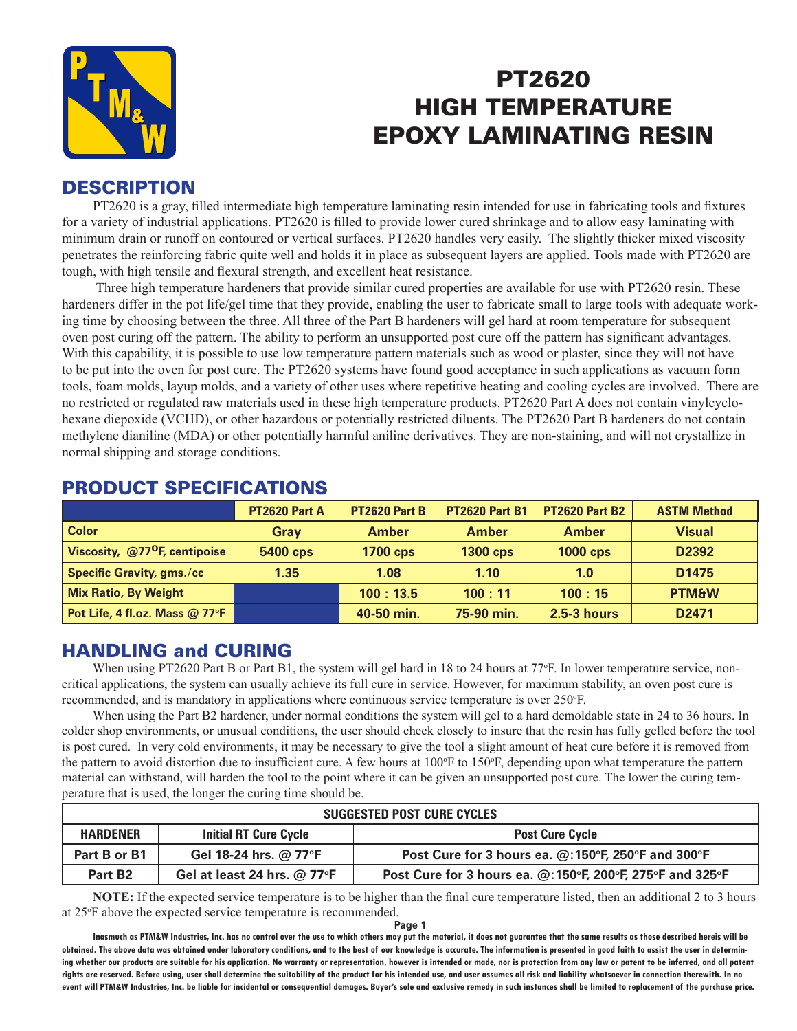

# PT2620 HIGH TEMPERATURE EPOXY LAMINATING RESIN

## **DESCRIPTION**

PT2620 is a gray, filled intermediate high temperature laminating resin intended for use in fabricating tools and fixtures for a variety of industrial applications. PT2620 is filled to provide lower cured shrinkage and to allow easy laminating with minimum drain or runoff on contoured or vertical surfaces. PT2620 handles very easily. The slightly thicker mixed viscosity penetrates the reinforcing fabric quite well and holds it in place as subsequent layers are applied. Tools made with PT2620 are tough, with high tensile and flexural strength, and excellent heat resistance.

 Three high temperature hardeners that provide similar cured properties are available for use with PT2620 resin. These hardeners differ in the pot life/gel time that they provide, enabling the user to fabricate small to large tools with adequate working time by choosing between the three. All three of the Part B hardeners will gel hard at room temperature for subsequent oven post curing off the pattern. The ability to perform an unsupported post cure off the pattern has significant advantages. With this capability, it is possible to use low temperature pattern materials such as wood or plaster, since they will not have to be put into the oven for post cure. The PT2620 systems have found good acceptance in such applications as vacuum form tools, foam molds, layup molds, and a variety of other uses where repetitive heating and cooling cycles are involved. There are no restricted or regulated raw materials used in these high temperature products. PT2620 Part A does not contain vinylcyclohexane diepoxide (VCHD), or other hazardous or potentially restricted diluents. The PT2620 Part B hardeners do not contain methylene dianiline (MDA) or other potentially harmful aniline derivatives. They are non-staining, and will not crystallize in normal shipping and storage conditions.

|                                             | PT2620 Part A   | <b>PT2620 Part B</b> | <b>PT2620 Part B1</b> | <b>PT2620 Part B2</b> | <b>ASTM Method</b> |
|---------------------------------------------|-----------------|----------------------|-----------------------|-----------------------|--------------------|
| <b>Color</b>                                | <b>Gray</b>     | <b>Amber</b>         | <b>Amber</b>          | <b>Amber</b>          | <b>Visual</b>      |
| Viscosity, $@77$ <sup>O</sup> F, centipoise | <b>5400 cps</b> | <b>1700 cps</b>      | <b>1300 cps</b>       | <b>1000 cps</b>       | D2392              |
| <b>Specific Gravity, gms./cc</b>            | 1.35            | 1.08                 | 1.10                  | 1.0                   | D <sub>1475</sub>  |
| <b>Mix Ratio, By Weight</b>                 |                 | 100:13.5             | 100:11                | 100:15                | <b>PTM&amp;W</b>   |
| Pot Life, 4 fl.oz. Mass @ 77°F              |                 | 40-50 min.           | 75-90 min.            | $2.5-3$ hours         | D <sub>2471</sub>  |

#### PRODUCT SPECIFICATIONS

## HANDLING and CURING

When using PT2620 Part B or Part B1, the system will gel hard in 18 to 24 hours at 77°F. In lower temperature service, noncritical applications, the system can usually achieve its full cure in service. However, for maximum stability, an oven post cure is recommended, and is mandatory in applications where continuous service temperature is over 250°F.

When using the Part B2 hardener, under normal conditions the system will gel to a hard demoldable state in 24 to 36 hours. In colder shop environments, or unusual conditions, the user should check closely to insure that the resin has fully gelled before the tool is post cured. In very cold environments, it may be necessary to give the tool a slight amount of heat cure before it is removed from the pattern to avoid distortion due to insufficient cure. A few hours at 100°F to 150°F, depending upon what temperature the pattern material can withstand, will harden the tool to the point where it can be given an unsupported post cure. The lower the curing temperature that is used, the longer the curing time should be.

| SUGGESTED POST CURE CYCLES                                                |                               |                                                                                                      |  |  |
|---------------------------------------------------------------------------|-------------------------------|------------------------------------------------------------------------------------------------------|--|--|
| <b>HARDENER</b><br><b>Initial RT Cure Cycle</b><br><b>Post Cure Cycle</b> |                               |                                                                                                      |  |  |
| Part B or B1                                                              | Gel 18-24 hrs. @ 77°F         | Post Cure for 3 hours ea. @:150°F, 250°F and 300°F                                                   |  |  |
| Part B <sub>2</sub>                                                       | Gel at least 24 hrs. $@$ 77°F | Post Cure for 3 hours ea. $@:150^{\circ}$ F, 200 $^{\circ}$ F, 275 $^{\circ}$ F and 325 $^{\circ}$ F |  |  |

**NOTE:** If the expected service temperature is to be higher than the final cure temperature listed, then an additional 2 to 3 hours at 25o F above the expected service temperature is recommended.

**Page 1**

**Inasmuch as PTM&W Industries, Inc. has no control over the use to which others may put the material, it does not guarantee that the same results as those described hereis will be obtained. The above data was obtained under laboratory conditions, and to the best of our knowledge is accurate. The information is presented in good faith to assist the user in determining whether our products are suitable for his application. No warranty or representation, however is intended or made, nor is protection from any law or patent to be inferred, and all patent rights are reserved. Before using, user shall determine the suitability of the product for his intended use, and user assumes all risk and liability whatsoever in connection therewith. In no event will PTM&W Industries, Inc. be liable for incidental or consequential damages. Buyer's sole and exclusive remedy in such instances shall be limited to replacement of the purchase price.**